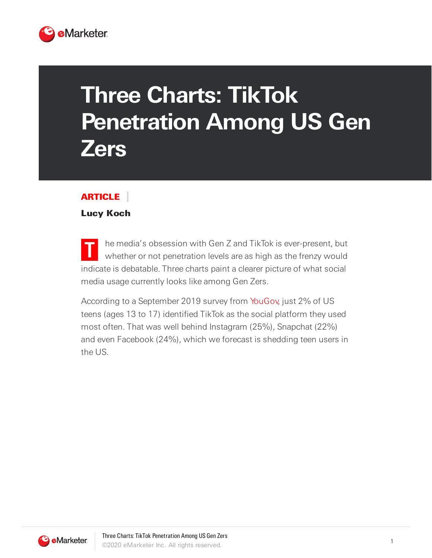

## **Three Charts: TikTok Penetration Among US Gen Zers**

## ARTICLE

## Lucy Koch

**T** he media's obsession with Gen Z and TikTok is ever-present, but whether or not penetration levels are as high as the frenzy would indicate is debatable. Three charts paint a clearer picture of what social media usage currently looks like among Gen Zers.

According to a September 2019 survey from [YouGov,](https://today.yougov.com/) just 2% of US teens (ages 13 to 17) identified TikTok as the social platform they used most often. That was well behind Instagram (25%), Snapchat (22%) and even Facebook (24%), which we forecast is shedding teen users in the US.

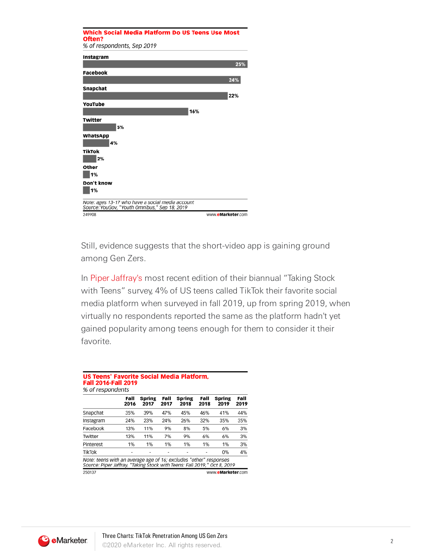| Which Social Media Platform Do US Teens Use Most                                                  |                   |
|---------------------------------------------------------------------------------------------------|-------------------|
| Often?<br>% of respondents, Sep 2019                                                              |                   |
|                                                                                                   |                   |
| Instagram                                                                                         |                   |
|                                                                                                   | 25%               |
| <b>Facebook</b>                                                                                   |                   |
|                                                                                                   | 24%               |
| Snapchat                                                                                          |                   |
|                                                                                                   | 22%               |
| YouTube                                                                                           |                   |
| 16%                                                                                               |                   |
| Twitter<br>5%                                                                                     |                   |
| WhatsApp<br>4%                                                                                    |                   |
| <b>TikTok</b><br>2%                                                                               |                   |
| Other<br>1%                                                                                       |                   |
| Don't know<br>1%                                                                                  |                   |
| Note: ages 13-17 who have a social media account<br>Source: YouGov, "Youth Omnibus," Sep 18, 2019 |                   |
| 249908                                                                                            | www.eMarketer.com |

Still, evidence suggests that the short-video app is gaining ground among Gen Zers.

In Piper [Jaffray's](http://www.pipersandler.com/) most recent edition of their biannual "Taking Stock with Teens" survey, 4% of US teens called TikTok their favorite social media platform when surveyed in fall 2019, up from spring 2019, when virtually no respondents reported the same as the platform hadn't yet gained popularity among teens enough for them to consider it their favorite.

|           | Fall<br>2016 | <b>Spring</b><br>2017 | Fall<br>2017 | <b>Spring</b><br>2018 | Fall<br>2018 | Spring<br>2019 | Fall<br>2019 |
|-----------|--------------|-----------------------|--------------|-----------------------|--------------|----------------|--------------|
| Snapchat  | 35%          | 39%                   | 47%          | 45%                   | 46%          | 41%            | 44%          |
| Instagram | 24%          | 23%                   | 24%          | 26%                   | 32%          | 35%            | 35%          |
| Facebook  | 13%          | 11%                   | 9%           | 8%                    | 5%           | 6%             | 3%           |
| Twitter   | 13%          | 11%                   | 7%           | 9%                    | 6%           | 6%             | 3%           |
| Pinterest | 1%           | 1%                    | 1%           | 1%                    | 1%           | 1%             | 3%           |
| TikTok    |              |                       |              |                       |              | 0%             | 4%           |

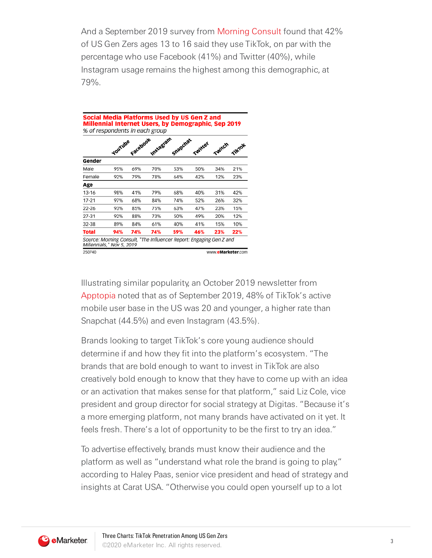And a September 2019 survey from [Morning](https://morningconsult.com/) Consult found that 42% of US Gen Zers ages 13 to 16 said they use TikTok, on par with the percentage who use Facebook (41%) and Twitter (40%), while Instagram usage remains the highest among this demographic, at 79%.

|              |                | Facebook |                  | Snapchat |         |        |        |
|--------------|----------------|----------|------------------|----------|---------|--------|--------|
|              | <b>TouTube</b> |          | <b>Instagram</b> |          | Twitter | Twitch | TikTok |
| Gender       |                |          |                  |          |         |        |        |
| Male         | 95%            | 69%      | 70%              | 53%      | 50%     | 34%    | 21%    |
| Female       | 92%            | 79%      | 78%              | 64%      | 42%     | 12%    | 23%    |
| Age          |                |          |                  |          |         |        |        |
| $13 - 16$    | 98%            | 41%      | 79%              | 68%      | 40%     | 31%    | 42%    |
| $17 - 21$    | 97%            | 68%      | 84%              | 74%      | 52%     | 26%    | 32%    |
| 22-26        | 93%            | 85%      | 75%              | 63%      | 47%     | 23%    | 15%    |
| 27-31        | 92%            | 88%      | 73%              | 50%      | 49%     | 20%    | 12%    |
| 32-38        | 89%            | 84%      | 61%              | 40%      | 41%     | 15%    | 10%    |
| <b>Total</b> | 94%            | 74%      | 74%              | 59%      | 46%     | 23%    | 22%    |

Illustrating similar popularity, an October 2019 newsletter from [Apptopia](https://apptopia.com/) noted that as of September 2019, 48% of TikTok's active mobile user base in the US was 20 and younger, a higher rate than Snapchat (44.5%) and even Instagram (43.5%).

Brands looking to target TikTok's core young audience should determine if and how they fit into the platform's ecosystem. "The brands that are bold enough to want to invest in TikTok are also creatively bold enough to know that they have to come up with an idea or an activation that makes sense for that platform," said Liz Cole, vice president and group director for social strategy at Digitas. "Because it's a more emerging platform, not many brands have activated on it yet. It feels fresh. There's a lot of opportunity to be the first to try an idea."

To advertise effectively, brands must know their audience and the platform as well as "understand what role the brand is going to play," according to Haley Paas, senior vice president and head of strategy and insights at Carat USA. "Otherwise you could open yourself up to a lot